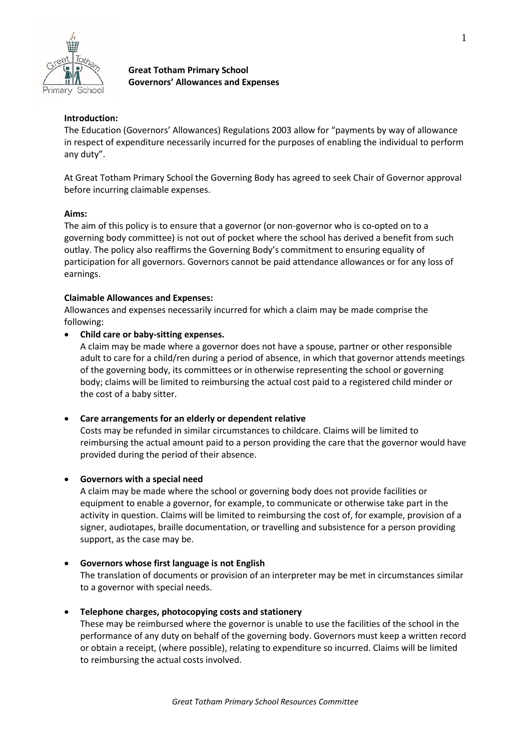

# **Great Totham Primary School Governors' Allowances and Expenses**

# **Introduction:**

The Education (Governors' Allowances) Regulations 2003 allow for "payments by way of allowance in respect of expenditure necessarily incurred for the purposes of enabling the individual to perform any duty".

At Great Totham Primary School the Governing Body has agreed to seek Chair of Governor approval before incurring claimable expenses.

## **Aims:**

The aim of this policy is to ensure that a governor (or non-governor who is co-opted on to a governing body committee) is not out of pocket where the school has derived a benefit from such outlay. The policy also reaffirms the Governing Body's commitment to ensuring equality of participation for all governors. Governors cannot be paid attendance allowances or for any loss of earnings.

#### **Claimable Allowances and Expenses:**

Allowances and expenses necessarily incurred for which a claim may be made comprise the following:

## **Child care or baby-sitting expenses.**

A claim may be made where a governor does not have a spouse, partner or other responsible adult to care for a child/ren during a period of absence, in which that governor attends meetings of the governing body, its committees or in otherwise representing the school or governing body; claims will be limited to reimbursing the actual cost paid to a registered child minder or the cost of a baby sitter.

## **Care arrangements for an elderly or dependent relative**

Costs may be refunded in similar circumstances to childcare. Claims will be limited to reimbursing the actual amount paid to a person providing the care that the governor would have provided during the period of their absence.

#### **Governors with a special need**

A claim may be made where the school or governing body does not provide facilities or equipment to enable a governor, for example, to communicate or otherwise take part in the activity in question. Claims will be limited to reimbursing the cost of, for example, provision of a signer, audiotapes, braille documentation, or travelling and subsistence for a person providing support, as the case may be.

## **Governors whose first language is not English**

The translation of documents or provision of an interpreter may be met in circumstances similar to a governor with special needs.

## **Telephone charges, photocopying costs and stationery**

These may be reimbursed where the governor is unable to use the facilities of the school in the performance of any duty on behalf of the governing body. Governors must keep a written record or obtain a receipt, (where possible), relating to expenditure so incurred. Claims will be limited to reimbursing the actual costs involved.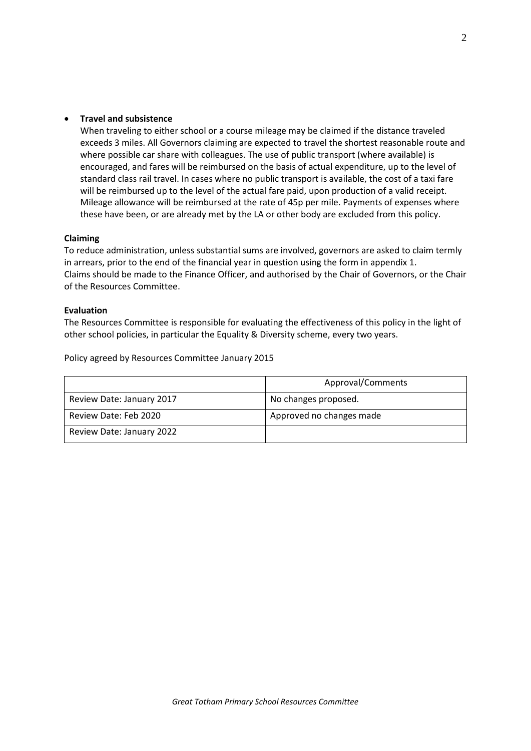#### **Travel and subsistence**

When traveling to either school or a course mileage may be claimed if the distance traveled exceeds 3 miles. All Governors claiming are expected to travel the shortest reasonable route and where possible car share with colleagues. The use of public transport (where available) is encouraged, and fares will be reimbursed on the basis of actual expenditure, up to the level of standard class rail travel. In cases where no public transport is available, the cost of a taxi fare will be reimbursed up to the level of the actual fare paid, upon production of a valid receipt. Mileage allowance will be reimbursed at the rate of 45p per mile. Payments of expenses where these have been, or are already met by the LA or other body are excluded from this policy.

#### **Claiming**

To reduce administration, unless substantial sums are involved, governors are asked to claim termly in arrears, prior to the end of the financial year in question using the form in appendix 1. Claims should be made to the Finance Officer, and authorised by the Chair of Governors, or the Chair of the Resources Committee.

#### **Evaluation**

The Resources Committee is responsible for evaluating the effectiveness of this policy in the light of other school policies, in particular the Equality & Diversity scheme, every two years.

Policy agreed by Resources Committee January 2015

|                           | Approval/Comments        |  |  |
|---------------------------|--------------------------|--|--|
| Review Date: January 2017 | No changes proposed.     |  |  |
| Review Date: Feb 2020     | Approved no changes made |  |  |
| Review Date: January 2022 |                          |  |  |